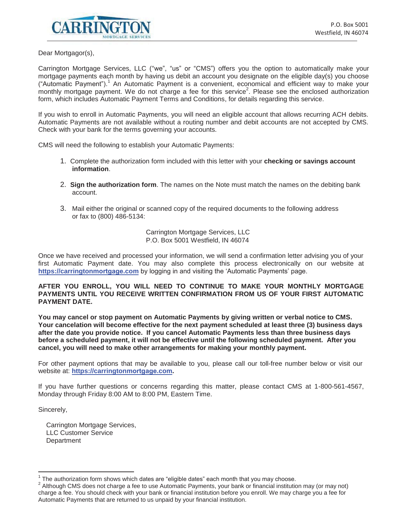

Dear Mortgagor(s),

Carrington Mortgage Services, LLC ("we", "us" or "CMS") offers you the option to automatically make your mortgage payments each month by having us debit an account you designate on the eligible day(s) you choose ("Automatic Payment").<sup>1</sup> An Automatic Payment is a convenient, economical and efficient way to make your monthly mortgage payment. We do not charge a fee for this service<sup>2</sup>. Please see the enclosed authorization form, which includes Automatic Payment Terms and Conditions, for details regarding this service.

If you wish to enroll in Automatic Payments, you will need an eligible account that allows recurring ACH debits. Automatic Payments are not available without a routing number and debit accounts are not accepted by CMS. Check with your bank for the terms governing your accounts.

CMS will need the following to establish your Automatic Payments:

- 1. Complete the authorization form included with this letter with your **checking or savings account information**.
- 2. **Sign the authorization form**. The names on the Note must match the names on the debiting bank account.
- 3. Mail either the original or scanned copy of the required documents to the following address or fax to (800) 486-5134:

Carrington Mortgage Services, LLC P.O. Box 5001 Westfield, IN 46074

Once we have received and processed your information, we will send a confirmation letter advising you of your first Automatic Payment date. You may also complete this process electronically on our website at **https://carringtonmortgage.com** by logging in and visiting the 'Automatic Payments' page.

**AFTER YOU ENROLL, YOU WILL NEED TO CONTINUE TO MAKE YOUR MONTHLY MORTGAGE PAYMENTS UNTIL YOU RECEIVE WRITTEN CONFIRMATION FROM US OF YOUR FIRST AUTOMATIC PAYMENT DATE.**

**You may cancel or stop payment on Automatic Payments by giving written or verbal notice to CMS. Your cancelation will become effective for the next payment scheduled at least three (3) business days after the date you provide notice. If you cancel Automatic Payments less than three business days before a scheduled payment, it will not be effective until the following scheduled payment. After you cancel, you will need to make other arrangements for making your monthly payment.**

For other payment options that may be available to you, please call our toll-free number below or visit our website at: **https://carringtonmortgage.com.** 

If you have further questions or concerns regarding this matter, please contact CMS at 1-800-561-4567, Monday through Friday 8:00 AM to 8:00 PM, Eastern Time.

Sincerely,

Carrington Mortgage Services, LLC Customer Service **Department** 

<sup>&</sup>lt;sup>1</sup> The authorization form shows which dates are "eligible dates" each month that you may choose.<br><sup>2</sup> Although CMS dass not shores a fee to use Automatic Pouments, your book or financial institution

 $^2$  Although CMS does not charge a fee to use Automatic Payments, your bank or financial institution may (or may not) charge a fee. You should check with your bank or financial institution before you enroll. We may charge you a fee for Automatic Payments that are returned to us unpaid by your financial institution.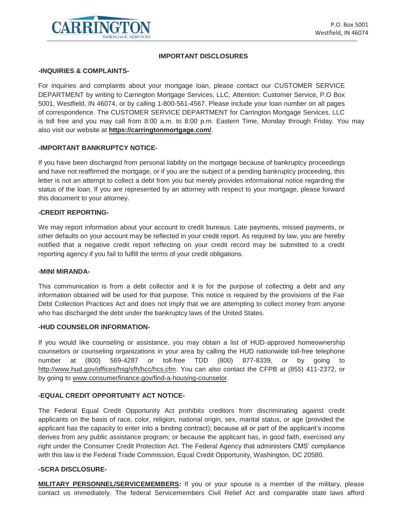

#### **IMPORTANT DISCLOSURES**

#### **-INQUIRIES & COMPLAINTS-**

For inquiries and complaints about your mortgage loan, please contact our CUSTOMER SERVICE DEPARTMENT by writing to Carrington Mortgage Services, LLC, Attention: Customer Service, P.O Box 5001, Westfield, IN 46074, or by calling 1-800-561-4567. Please include your loan number on all pages of correspondence. The CUSTOMER SERVICE DEPARTMENT for Carrington Mortgage Services, LLC is toll free and you may call from 8:00 a.m. to 8:00 p.m. Eastern Time, Monday through Friday. You may also visit our website at **https://carringtonmortgage.com/**.

#### **-IMPORTANT BANKRUPTCY NOTICE-**

If you have been discharged from personal liability on the mortgage because of bankruptcy proceedings and have not reaffirmed the mortgage, or if you are the subject of a pending bankruptcy proceeding, this letter is not an attempt to collect a debt from you but merely provides informational notice regarding the status of the loan. If you are represented by an attorney with respect to your mortgage, please forward this document to your attorney.

#### **-CREDIT REPORTING-**

We may report information about your account to credit bureaus. Late payments, missed payments, or other defaults on your account may be reflected in your credit report. As required by law, you are hereby notified that a negative credit report reflecting on your credit record may be submitted to a credit reporting agency if you fail to fulfill the terms of your credit obligations.

#### **-MINI MIRANDA-**

This communication is from a debt collector and it is for the purpose of collecting a debt and any information obtained will be used for that purpose. This notice is required by the provisions of the Fair Debt Collection Practices Act and does not imply that we are attempting to collect money from anyone who has discharged the debt under the bankruptcy laws of the United States.

#### **-HUD COUNSELOR INFORMATION-**

If you would like counseling or assistance, you may obtain a list of HUD-approved homeownership counselors or counseling organizations in your area by calling the HUD nationwide toll-free telephone number at (800) 569-4287 or toll-free TDD (800) 877-8339, or by going to http://www.hud.gov/offices/hsg/sfh/hcc/hcs.cfm. You can also contact the CFPB at (855) 411-2372, or by going to www.consumerfinance.gov/find-a-housing-counselor.

#### **-EQUAL CREDIT OPPORTUNITY ACT NOTICE-**

The Federal Equal Credit Opportunity Act prohibits creditors from discriminating against credit applicants on the basis of race, color, religion, national origin, sex, marital status, or age (provided the applicant has the capacity to enter into a binding contract); because all or part of the applicant's income derives from any public assistance program; or because the applicant has, in good faith, exercised any right under the Consumer Credit Protection Act. The Federal Agency that administers CMS' compliance with this law is the Federal Trade Commission, Equal Credit Opportunity, Washington, DC 20580.

#### **-SCRA DISCLOSURE-**

**MILITARY PERSONNEL/SERVICEMEMBERS:** If you or your spouse is a member of the military, please contact us immediately. The federal Servicemembers Civil Relief Act and comparable state laws afford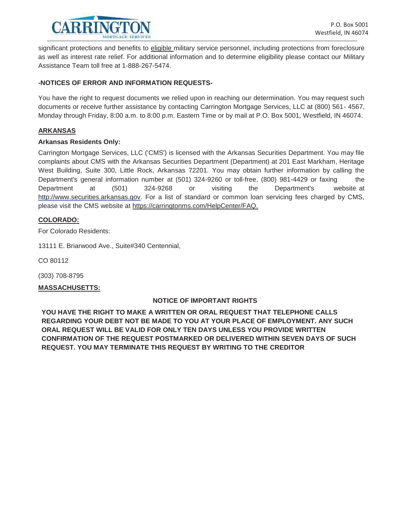

significant protections and benefits to eligible military service personnel, including protections from foreclosure as well as interest rate relief. For additional information and to determine eligibility please contact our Military Assistance Team toll free at 1-888-267-5474.

### **-NOTICES OF ERROR AND INFORMATION REQUESTS-**

You have the right to request documents we relied upon in reaching our determination. You may request such documents or receive further assistance by contacting Carrington Mortgage Services, LLC at (800) 561- 4567, Monday through Friday, 8:00 a.m. to 8:00 p.m. Eastern Time or by mail at P.O. Box 5001, Westfield, IN 46074.

#### **ARKANSAS**

#### **Arkansas Residents Only:**

Carrington Mortgage Services, LLC ('CMS') is licensed with the Arkansas Securities Department. You may file complaints about CMS with the Arkansas Securities Department (Department) at 201 East Markham, Heritage West Building, Suite 300, Little Rock, Arkansas 72201. You may obtain further information by calling the Department's general information number at (501) 324-9260 or toll-free, (800) 981-4429 or faxing the Department at (501) 324-9268 or visiting the Department's website at http://www.securities.arkansas.gov. For a list of standard or common loan servicing fees charged by CMS, please visit the CMS website at https://carringtonms.com/HelpCenter/FAQ.

### **COLORADO:**

For Colorado Residents:

13111 E. Briarwood Ave., Suite#340 Centennial,

CO 80112

(303) 708-8795

### **MASSACHUSETTS:**

### **NOTICE OF IMPORTANT RIGHTS**

**YOU HAVE THE RIGHT TO MAKE A WRITTEN OR ORAL REQUEST THAT TELEPHONE CALLS REGARDING YOUR DEBT NOT BE MADE TO YOU AT YOUR PLACE OF EMPLOYMENT. ANY SUCH ORAL REQUEST WILL BE VALID FOR ONLY TEN DAYS UNLESS YOU PROVIDE WRITTEN CONFIRMATION OF THE REQUEST POSTMARKED OR DELIVERED WITHIN SEVEN DAYS OF SUCH REQUEST. YOU MAY TERMINATE THIS REQUEST BY WRITING TO THE CREDITOR**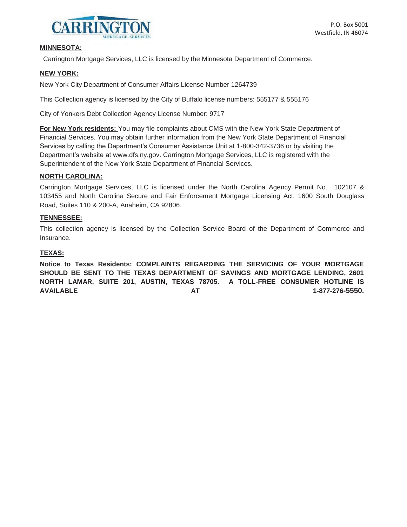

#### **MINNESOTA:**

Carrington Mortgage Services, LLC is licensed by the Minnesota Department of Commerce.

#### **NEW YORK:**

New York City Department of Consumer Affairs License Number 1264739

This Collection agency is licensed by the City of Buffalo license numbers: 555177 & 555176

City of Yonkers Debt Collection Agency License Number: 9717

**For New York residents:** You may file complaints about CMS with the New York State Department of Financial Services. You may obtain further information from the New York State Department of Financial Services by calling the Department's Consumer Assistance Unit at 1-800-342-3736 or by visiting the Department's website at www.dfs.ny.gov. Carrington Mortgage Services, LLC is registered with the Superintendent of the New York State Department of Financial Services.

#### **NORTH CAROLINA:**

Carrington Mortgage Services, LLC is licensed under the North Carolina Agency Permit No. 102107 & 103455 and North Carolina Secure and Fair Enforcement Mortgage Licensing Act. 1600 South Douglass Road, Suites 110 & 200-A, Anaheim, CA 92806.

#### **TENNESSEE:**

This collection agency is licensed by the Collection Service Board of the Department of Commerce and Insurance.

#### **TEXAS:**

**Notice to Texas Residents: COMPLAINTS REGARDING THE SERVICING OF YOUR MORTGAGE SHOULD BE SENT TO THE TEXAS DEPARTMENT OF SAVINGS AND MORTGAGE LENDING, 2601 NORTH LAMAR, SUITE 201, AUSTIN, TEXAS 78705. A TOLL-FREE CONSUMER HOTLINE IS AVAILABLE AT 1-877-276-5550.**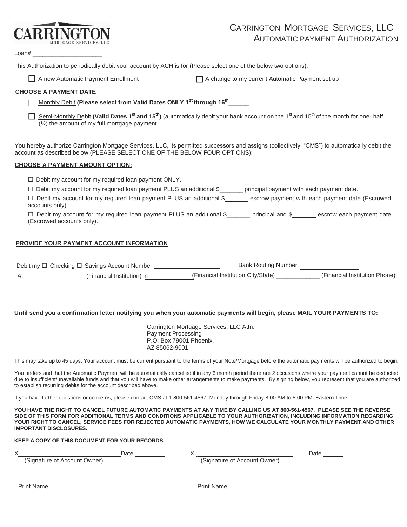# **CARRINGTO**

Loan# \_\_\_\_\_\_\_\_\_\_\_\_\_\_\_\_\_\_\_\_\_

This Authorization to periodically debit your account by ACH is for (Please select one of the below two options):

 $\Box$  A new Automatic Payment Enrollment  $\Box$  A change to my current Automatic Payment set up

## **CHOOSE A PAYMENT DATE**

Monthly Debit (Please select from Valid Dates ONLY 1<sup>st</sup> through 16<sup>th</sup>\_\_\_\_\_\_

Semi-Monthly Debit (Valid Dates 1<sup>st</sup> and 15<sup>th</sup>) (automatically debit your bank account on the 1<sup>st</sup> and 15<sup>th</sup> of the month for one- half (½) the amount of my full mortgage payment.

You hereby authorize Carrington Mortgage Services, LLC, its permitted successors and assigns (collectively, "CMS") to automatically debit the account as described below (PLEASE SELECT ONE OF THE BELOW FOUR OPTIONS):

#### **CHOOSE A PAYMENT AMOUNT OPTION:**

|  | $\Box$ Debit my account for my required loan payment ONLY. |  |  |  |
|--|------------------------------------------------------------|--|--|--|
|  |                                                            |  |  |  |

□ Debit my account for my required loan payment PLUS an additional \$<br>□ principal payment with each payment date.

 $\Box$  Debit my account for my required loan payment PLUS an additional \$ escrow payment with each payment date (Escrowed accounts only).

□ Debit my account for my required loan payment PLUS an additional \$\_\_\_\_\_\_\_ principal and \$**\_\_\_\_\_\_\_** escrow each payment date (Escrowed accounts only).

### **PROVIDE YOUR PAYMENT ACCOUNT INFORMATION**

|    | Debit my □ Checking □ Savings Account Number | <b>Bank Routing Number</b>         |                               |
|----|----------------------------------------------|------------------------------------|-------------------------------|
| At | (Financial Institution) in                   | (Financial Institution City/State) | (Financial Institution Phone) |

#### **Until send you a confirmation letter notifying you when your automatic payments will begin, please MAIL YOUR PAYMENTS TO:**

Carrington Mortgage Services, LLC Attn: Payment Processing P.O. Box 79001 Phoenix, AZ 85062-9001

This may take up to 45 days. Your account must be current pursuant to the terms of your Note/Mortgage before the automatic payments will be authorized to begin.

You understand that the Automatic Payment will be automatically cancelled if in any 6 month period there are 2 occasions where your payment cannot be deducted due to insufficient/unavailable funds and that you will have to make other arrangements to make payments. By signing below, you represent that you are authorized to establish recurring debits for the account described above.

If you have further questions or concerns, please contact CMS at 1-800-561-4567, Monday through Friday 8:00 AM to 8:00 PM, Eastern Time.

**YOU HAVE THE RIGHT TO CANCEL FUTURE AUTOMATIC PAYMENTS AT ANY TIME BY CALLING US AT 800-561-4567. PLEASE SEE THE REVERSE SIDE OF THIS FORM FOR ADDITIONAL TERMS AND CONDITIONS APPLICABLE TO YOUR AUTHORIZATION, INCLUDING INFORMATION REGARDING YOUR RIGHT TO CANCEL, SERVICE FEES FOR REJECTED AUTOMATIC PAYMENTS, HOW WE CALCULATE YOUR MONTHLY PAYMENT AND OTHER IMPORTANT DISCLOSURES.** 

#### **KEEP A COPY OF THIS DOCUMENT FOR YOUR RECORDS.**

|                              | Date |                              | Date |
|------------------------------|------|------------------------------|------|
| (Signature of Account Owner) |      | (Signature of Account Owner) |      |
|                              |      |                              |      |
|                              |      |                              |      |
| <b>Print Name</b>            |      | <b>Print Name</b>            |      |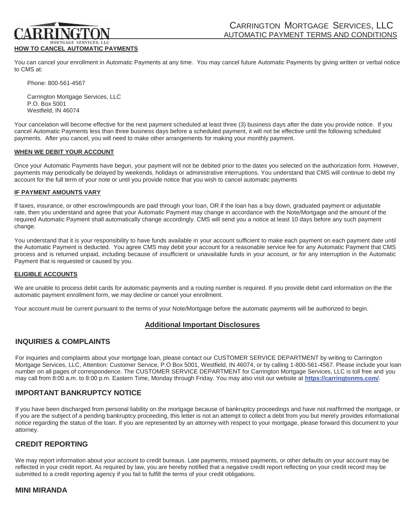#### **HOW TO CANCEL AUTOMATIC PAYMENTS**

You can cancel your enrollment in Automatic Payments at any time. You may cancel future Automatic Payments by giving written or verbal notice to CMS at:

Phone: 800-561-4567

Carrington Mortgage Services, LLC P.O. Box 5001 Westfield, IN 46074

Your cancelation will become effective for the next payment scheduled at least three (3) business days after the date you provide notice. If you cancel Automatic Payments less than three business days before a scheduled payment, it will not be effective until the following scheduled payments. After you cancel, you will need to make other arrangements for making your monthly payment.

#### **WHEN WE DEBIT YOUR ACCOUNT**

Once your Automatic Payments have begun, your payment will not be debited prior to the dates you selected on the authorization form. However, payments may periodically be delayed by weekends, holidays or administrative interruptions. You understand that CMS will continue to debit my account for the full term of your note or until you provide notice that you wish to cancel automatic payments

#### **IF PAYMENT AMOUNTS VARY**

If taxes, insurance, or other escrow/impounds are paid through your loan, OR if the loan has a buy down, graduated payment or adjustable rate, then you understand and agree that your Automatic Payment may change in accordance with the Note/Mortgage and the amount of the required Automatic Payment shall automatically change accordingly. CMS will send you a notice at least 10 days before any such payment change.

You understand that it is your responsibility to have funds available in your account sufficient to make each payment on each payment date until the Automatic Payment is deducted. You agree CMS may debit your account for a reasonable service fee for any Automatic Payment that CMS process and is returned unpaid, including because of insufficient or unavailable funds in your account, or for any interruption in the Automatic Payment that is requested or caused by you.

#### **ELIGIBLE ACCOUNTS**

We are unable to process debit cards for automatic payments and a routing number is required. If you provide debit card information on the the automatic payment enrollment form, we may decline or cancel your enrollment.

Your account must be current pursuant to the terms of your Note/Mortgage before the automatic payments will be authorized to begin.

### **Additional Important Disclosures**

### **INQUIRIES & COMPLAINTS**

For inquiries and complaints about your mortgage loan, please contact our CUSTOMER SERVICE DEPARTMENT by writing to Carrington Mortgage Services, LLC, Attention: Customer Service, P.O Box 5001, Westfield, IN 46074, or by calling 1-800-561-4567. Please include your loan number on all pages of correspondence. The CUSTOMER SERVICE DEPARTMENT for Carrington Mortgage Services, LLC is toll free and you may call from 8:00 a.m. to 8:00 p.m. Eastern Time, Monday through Friday. You may also visit our website at **https://carringtonms.com/**.

## **IMPORTANT BANKRUPTCY NOTICE**

If you have been discharged from personal liability on the mortgage because of bankruptcy proceedings and have not reaffirmed the mortgage, or if you are the subject of a pending bankruptcy proceeding, this letter is not an attempt to collect a debt from you but merely provides informational notice regarding the status of the loan. If you are represented by an attorney with respect to your mortgage, please forward this document to your attorney.

### **CREDIT REPORTING**

We may report information about your account to credit bureaus. Late payments, missed payments, or other defaults on your account may be reflected in your credit report. As required by law, you are hereby notified that a negative credit report reflecting on your credit record may be submitted to a credit reporting agency if you fail to fulfill the terms of your credit obligations.

### **MINI MIRANDA**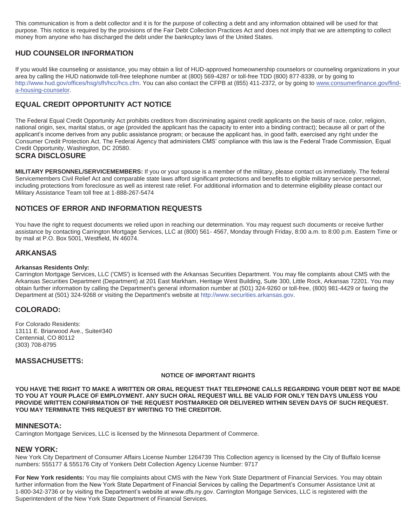This communication is from a debt collector and it is for the purpose of collecting a debt and any information obtained will be used for that purpose. This notice is required by the provisions of the Fair Debt Collection Practices Act and does not imply that we are attempting to collect money from anyone who has discharged the debt under the bankruptcy laws of the United States.

# **HUD COUNSELOR INFORMATION**

If you would like counseling or assistance, you may obtain a list of HUD-approved homeownership counselors or counseling organizations in your area by calling the HUD nationwide toll-free telephone number at (800) 569-4287 or toll-free TDD (800) 877-8339, or by going to http://www.hud.gov/offices/hsg/sfh/hcc/hcs.cfm. You can also contact the CFPB at (855) 411-2372, or by going to www.consumerfinance.gov/finda-housing-counselor.

# **EQUAL CREDIT OPPORTUNITY ACT NOTICE**

The Federal Equal Credit Opportunity Act prohibits creditors from discriminating against credit applicants on the basis of race, color, religion, national origin, sex, marital status, or age (provided the applicant has the capacity to enter into a binding contract); because all or part of the applicant's income derives from any public assistance program; or because the applicant has, in good faith, exercised any right under the Consumer Credit Protection Act. The Federal Agency that administers CMS' compliance with this law is the Federal Trade Commission, Equal Credit Opportunity, Washington, DC 20580.

### **SCRA DISCLOSURE**

**MILITARY PERSONNEL/SERVICEMEMBERS:** If you or your spouse is a member of the military, please contact us immediately. The federal Servicemembers Civil Relief Act and comparable state laws afford significant protections and benefits to eligible military service personnel, including protections from foreclosure as well as interest rate relief. For additional information and to determine eligibility please contact our Military Assistance Team toll free at 1-888-267-5474

# **NOTICES OF ERROR AND INFORMATION REQUESTS**

You have the right to request documents we relied upon in reaching our determination. You may request such documents or receive further assistance by contacting Carrington Mortgage Services, LLC at (800) 561- 4567, Monday through Friday, 8:00 a.m. to 8:00 p.m. Eastern Time or by mail at P.O. Box 5001, Westfield, IN 46074.

# **ARKANSAS**

#### **Arkansas Residents Only:**

Carrington Mortgage Services, LLC ('CMS') is licensed with the Arkansas Securities Department. You may file complaints about CMS with the Arkansas Securities Department (Department) at 201 East Markham, Heritage West Building, Suite 300, Little Rock, Arkansas 72201. You may obtain further information by calling the Department's general information number at (501) 324-9260 or toll-free, (800) 981-4429 or faxing the Department at (501) 324-9268 or visiting the Department's website at http://www.securities.arkansas.gov.

### **COLORADO:**

For Colorado Residents: 13111 E. Briarwood Ave., Suite#340 Centennial, CO 80112 (303) 708-8795

### **MASSACHUSETTS:**

#### **NOTICE OF IMPORTANT RIGHTS**

**YOU HAVE THE RIGHT TO MAKE A WRITTEN OR ORAL REQUEST THAT TELEPHONE CALLS REGARDING YOUR DEBT NOT BE MADE TO YOU AT YOUR PLACE OF EMPLOYMENT. ANY SUCH ORAL REQUEST WILL BE VALID FOR ONLY TEN DAYS UNLESS YOU PROVIDE WRITTEN CONFIRMATION OF THE REQUEST POSTMARKED OR DELIVERED WITHIN SEVEN DAYS OF SUCH REQUEST. YOU MAY TERMINATE THIS REQUEST BY WRITING TO THE CREDITOR.** 

#### **MINNESOTA:**

Carrington Mortgage Services, LLC is licensed by the Minnesota Department of Commerce.

#### **NEW YORK:**

New York City Department of Consumer Affairs License Number 1264739 This Collection agency is licensed by the City of Buffalo license numbers: 555177 & 555176 City of Yonkers Debt Collection Agency License Number: 9717

**For New York residents:** You may file complaints about CMS with the New York State Department of Financial Services. You may obtain further information from the New York State Department of Financial Services by calling the Department's Consumer Assistance Unit at 1-800-342-3736 or by visiting the Department's website at www.dfs.ny.gov. Carrington Mortgage Services, LLC is registered with the Superintendent of the New York State Department of Financial Services.